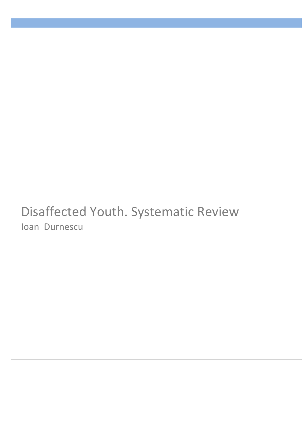# Disaffected Youth. Systematic Review Ioan Durnescu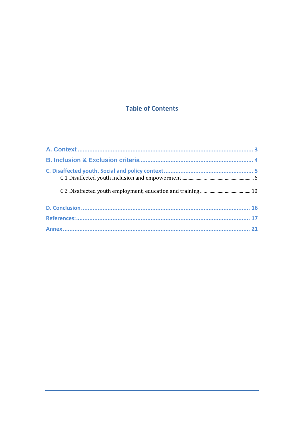# **Table of Contents**

| 21 |
|----|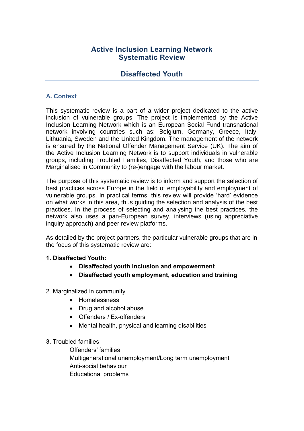## **Active Inclusion Learning Network Systematic Review**

## **Disaffected Youth**

## **A. Context**

This systematic review is a part of a wider project dedicated to the active inclusion of vulnerable groups. The project is implemented by the Active Inclusion Learning Network which is an European Social Fund transnational network involving countries such as: Belgium, Germany, Greece, Italy, Lithuania, Sweden and the United Kingdom. The management of the network is ensured by the National Offender Management Service (UK). The aim of the Active Inclusion Learning Network is to support individuals in vulnerable groups, including Troubled Families, Disaffected Youth, and those who are Marginalised in Community to (re-)engage with the labour market.

The purpose of this systematic review is to inform and support the selection of best practices across Europe in the field of employability and employment of vulnerable groups. In practical terms, this review will provide 'hard' evidence on what works in this area, thus guiding the selection and analysis of the best practices. In the process of selecting and analysing the best practices, the network also uses a pan-European survey, interviews (using appreciative inquiry approach) and peer review platforms.

As detailed by the project partners, the particular vulnerable groups that are in the focus of this systematic review are:

### **1. Disaffected Youth:**

- **Disaffected youth inclusion and empowerment**
- **Disaffected youth employment, education and training**
- 2. Marginalized in community
	- Homelessness
	- Drug and alcohol abuse
	- Offenders / Ex-offenders
	- Mental health, physical and learning disabilities

### 3. Troubled families

Offenders' families Multigenerational unemployment/Long term unemployment Anti-social behaviour Educational problems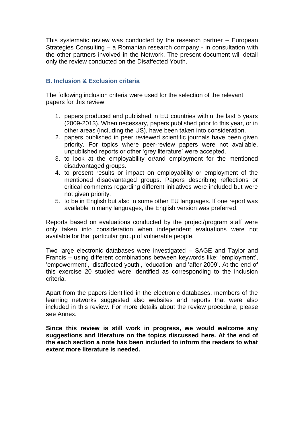This systematic review was conducted by the research partner – European Strategies Consulting – a Romanian research company - in consultation with the other partners involved in the Network. The present document will detail only the review conducted on the Disaffected Youth.

## **B. Inclusion & Exclusion criteria**

The following inclusion criteria were used for the selection of the relevant papers for this review:

- 1. papers produced and published in EU countries within the last 5 years (2009-2013). When necessary, papers published prior to this year, or in other areas (including the US), have been taken into consideration.
- 2. papers published in peer reviewed scientific journals have been given priority. For topics where peer-review papers were not available, unpublished reports or other 'grey literature' were accepted.
- 3. to look at the employability or/and employment for the mentioned disadvantaged groups.
- 4. to present results or impact on employability or employment of the mentioned disadvantaged groups. Papers describing reflections or critical comments regarding different initiatives were included but were not given priority.
- 5. to be in English but also in some other EU languages. If one report was available in many languages, the English version was preferred.

Reports based on evaluations conducted by the project/program staff were only taken into consideration when independent evaluations were not available for that particular group of vulnerable people.

Two large electronic databases were investigated – SAGE and Taylor and Francis – using different combinations between keywords like: 'employment', 'empowerment', 'disaffected youth', 'education' and 'after 2009'. At the end of this exercise 20 studied were identified as corresponding to the inclusion criteria.

Apart from the papers identified in the electronic databases, members of the learning networks suggested also websites and reports that were also included in this review. For more details about the review procedure, please see Annex.

**Since this review is still work in progress, we would welcome any suggestions and literature on the topics discussed here. At the end of the each section a note has been included to inform the readers to what extent more literature is needed.**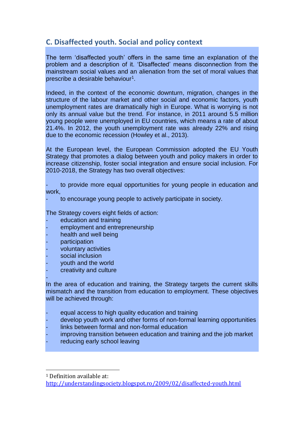# **C. Disaffected youth. Social and policy context**

The term 'disaffected youth' offers in the same time an explanation of the problem and a description of it. 'Disaffected' means disconnection from the mainstream social values and an alienation from the set of moral values that prescribe a desirable behaviour $^1$ .

Indeed, in the context of the economic downturn, migration, changes in the structure of the labour market and other social and economic factors, youth unemployment rates are dramatically high in Europe. What is worrying is not only its annual value but the trend. For instance, in 2011 around 5.5 million young people were unemployed in EU countries, which means a rate of about 21.4%. In 2012, the youth unemployment rate was already 22% and rising due to the economic recession (Howley et al., 2013).

At the European level, the European Commission adopted the EU Youth Strategy that promotes a dialog between youth and policy makers in order to increase citizenship, foster social integration and ensure social inclusion. For 2010-2018, the Strategy has two overall objectives:

- to provide more equal opportunities for young people in education and work,

to encourage young people to actively participate in society.

The Strategy covers eight fields of action:

- education and training
- employment and entrepreneurship
- health and well being
- participation
- voluntary activities
- social inclusion
- youth and the world
- creativity and culture

- In the area of education and training, the Strategy targets the current skills mismatch and the transition from education to employment. These objectives will be achieved through:

- equal access to high quality education and training
- develop youth work and other forms of non-formal learning opportunities
- links between formal and non-formal education
- improving transition between education and training and the job market
- reducing early school leaving

 $\overline{a}$ 

<sup>1</sup> Definition available at:

<http://understandingsociety.blogspot.ro/2009/02/disaffected-youth.html>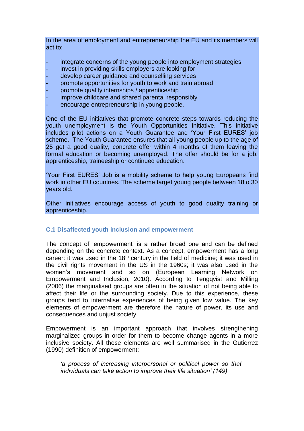In the area of employment and entrepreneurship the EU and its members will act to:

- integrate concerns of the young people into employment strategies
- invest in providing skills employers are looking for
- develop career quidance and counselling services
- promote opportunities for youth to work and train abroad
- promote quality internships / apprenticeship
- improve childcare and shared parental responsibly
- encourage entrepreneurship in young people.

One of the EU initiatives that promote concrete steps towards reducing the youth unemployment is the Youth Opportunities Initiative. This initiative includes pilot actions on a Youth Guarantee and 'Your First EURES' job scheme. The Youth Guarantee ensures that all young people up to the age of 25 get a good quality, concrete offer within 4 months of them leaving the formal education or becoming unemployed. The offer should be for a job, apprenticeship, traineeship or continued education.

'Your First EURES' Job is a mobility scheme to help young Europeans find work in other EU countries. The scheme target young people between 18to 30 years old.

Other initiatives encourage access of youth to good quality training or apprenticeship.

### **C.1 Disaffected youth inclusion and empowerment**

The concept of 'empowerment' is a rather broad one and can be defined depending on the concrete context. As a concept, empowerment has a long career: it was used in the 18<sup>th</sup> century in the field of medicine; it was used in the civil rights movement in the US in the 1960s; it was also used in the women's movement and so on (European Learning Network on Empowerment and Inclusion, 2010). According to Tengqvist and Milling (2006) the marginalised groups are often in the situation of not being able to affect their life or the surrounding society. Due to this experience, these groups tend to internalise experiences of being given low value. The key elements of empowerment are therefore the nature of power, its use and consequences and unjust society.

Empowerment is an important approach that involves strengthening marginalized groups in order for them to become change agents in a more inclusive society. All these elements are well summarised in the Gutierrez (1990) definition of empowerment:

*'a process of increasing interpersonal or political power so that individuals can take action to improve their life situation' (149)*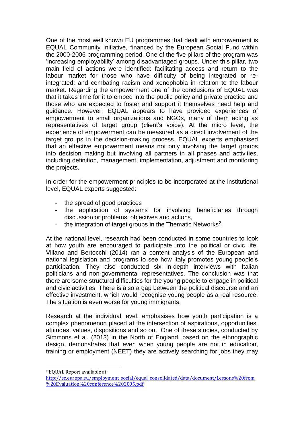One of the most well known EU programmes that dealt with empowerment is EQUAL Community Initiative, financed by the European Social Fund within the 2000-2006 programming period. One of the five pillars of the program was 'increasing employability' among disadvantaged groups. Under this pillar, two main field of actions were identified: facilitating access and return to the labour market for those who have difficulty of being integrated or reintegrated; and combating racism and xenophobia in relation to the labour market. Regarding the empowerment one of the conclusions of EQUAL was that it takes time for it to embed into the public policy and private practice and those who are expected to foster and support it themselves need help and guidance. However, EQUAL appears to have provided experiences of empowerment to small organizations and NGOs, many of them acting as representatives of target group (client's voice). At the micro level, the experience of empowerment can be measured as a direct involvement of the target groups in the decision-making process. EQUAL experts emphasised that an effective empowerment means not only involving the target groups into decision making but involving all partners in all phases and activities, including definition, management, implementation, adjustment and monitoring the projects.

In order for the empowerment principles to be incorporated at the institutional level, EQUAL experts suggested:

- the spread of good practices
- the application of systems for involving beneficiaries through discussion or problems, objectives and actions,
- the integration of target groups in the Thematic Networks<sup>2</sup>.

At the national level, research had been conducted in some countries to look at how youth are encouraged to participate into the political or civic life. Villano and Bertocchi (2014) ran a content analysis of the European and national legislation and programs to see how Italy promotes young people's participation. They also conducted six in-depth interviews with Italian politicians and non-governmental representatives. The conclusion was that there are some structural difficulties for the young people to engage in political and civic activities. There is also a gap between the political discourse and an effective investment, which would recognise young people as a real resource. The situation is even worse for young immigrants.

Research at the individual level, emphasises how youth participation is a complex phenomenon placed at the intersection of aspirations, opportunities, attitudes, values, dispositions and so on. One of these studies, conducted by Simmons et al. (2013) in the North of England, based on the ethnographic design, demonstrates that even when young people are not in education, training or employment (NEET) they are actively searching for jobs they may

 $\overline{a}$ 

<sup>2</sup> EQUAL Report available at:

[http://ec.europa.eu/employment\\_social/equal\\_consolidated/data/document/Lessons%20from](http://ec.europa.eu/employment_social/equal_consolidated/data/document/Lessons%20from%20Evaluation%20conference%202005.pdf) [%20Evaluation%20conference%202005.pdf](http://ec.europa.eu/employment_social/equal_consolidated/data/document/Lessons%20from%20Evaluation%20conference%202005.pdf)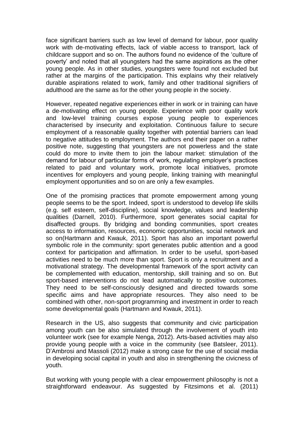face significant barriers such as low level of demand for labour, poor quality work with de-motivating effects, lack of viable access to transport, lack of childcare support and so on. The authors found no evidence of the 'culture of poverty' and noted that all youngsters had the same aspirations as the other young people. As in other studies, youngsters were found not excluded but rather at the margins of the participation. This explains why their relatively durable aspirations related to work, family and other traditional signifiers of adulthood are the same as for the other young people in the society.

However, repeated negative experiences either in work or in training can have a de-motivating effect on young people. Experience with poor quality work and low-level training courses expose young people to experiences characterised by insecurity and exploitation. Continuous failure to secure employment of a reasonable quality together with potential barriers can lead to negative attitudes to employment. The authors end their paper on a rather positive note, suggesting that youngsters are not powerless and the state could do more to invite them to join the labour market: stimulation of the demand for labour of particular forms of work, regulating employer's practices related to paid and voluntary work, promote local initiatives, promote incentives for employers and young people, linking training with meaningful employment opportunities and so on are only a few examples.

One of the promising practices that promote empowerment among young people seems to be the sport. Indeed, sport is understood to develop life skills (e.g. self esteem, self-discipline), social knowledge, values and leadership qualities (Darnell, 2010). Furthermore, sport generates social capital for disaffected groups. By bridging and bonding communities, sport creates access to information, resources, economic opportunities, social network and so on(Hartmann and Kwauk, 2011). Sport has also an important powerful symbolic role in the community: sport generates public attention and a good context for participation and affirmation. In order to be useful, sport-based activities need to be much more than sport. Sport is only a recruitment and a motivational strategy. The developmental framework of the sport activity can be complemented with education, mentorship, skill training and so on. But sport-based interventions do not lead automatically to positive outcomes. They need to be self-consciously designed and directed towards some specific aims and have appropriate resources. They also need to be combined with other, non-sport programming and investment in order to reach some developmental goals (Hartmann and Kwauk, 2011).

Research in the US, also suggests that community and civic participation among youth can be also simulated through the involvement of youth into volunteer work (see for example Nenga, 2012). Arts-based activities may also provide young people with a voice in the community (see Batsleer, 2011). D'Ambrosi and Massoli (2012) make a strong case for the use of social media in developing social capital in youth and also in strengthening the civicness of youth.

But working with young people with a clear empowerment philosophy is not a straightforward endeavour. As suggested by Fitzsimons et al. (2011)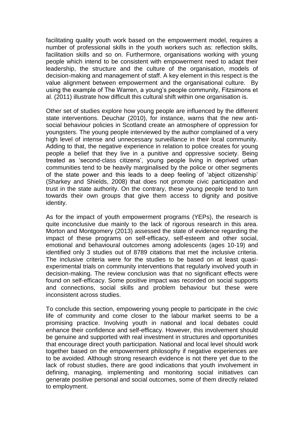facilitating quality youth work based on the empowerment model, requires a number of professional skills in the youth workers such as: reflection skills, facilitation skills and so on. Furthermore, organisations working with young people which intend to be consistent with empowerment need to adapt their leadership, the structure and the culture of the organisation, models of decision-making and management of staff. A key element in this respect is the value alignment between empowerment and the organisational culture. By using the example of The Warren, a young's people community, Fitzsimons et al. (2011) illustrate how difficult this cultural shift within one organisation is.

Other set of studies explore how young people are influenced by the different state interventions. Deuchar (2010), for instance, warns that the new antisocial behaviour policies in Scotland create an atmosphere of oppression for youngsters. The young people interviewed by the author complained of a very high level of intense and unnecessary surveillance in their local community. Adding to that, the negative experience in relation to police creates for young people a belief that they live in a punitive and oppressive society. Being treated as 'second-class citizens', young people living in deprived urban communities tend to be heavily marginalised by the police or other segments of the state power and this leads to a deep feeling of 'abject citizenship' (Sharkey and Shields, 2008) that does not promote civic participation and trust in the state authority. On the contrary, these young people tend to turn towards their own groups that give them access to dignity and positive identity.

As for the impact of youth empowerment programs (YEPs), the research is quite inconclusive due mainly to the lack of rigorous research in this area. Morton and Montgomery (2013) assessed the state of evidence regarding the impact of these programs on self-efficacy, self-esteem and other social, emotional and behavioural outcomes among adolescents (ages 10-19) and identified only 3 studies out of 8789 citations that met the inclusive criteria. The inclusive criteria were for the studies to be based on at least quasiexperimental trials on community interventions that regularly involved youth in decision-making. The review conclusion was that no significant effects were found on self-efficacy. Some positive impact was recorded on social supports and connections, social skills and problem behaviour but these were inconsistent across studies.

To conclude this section, empowering young people to participate in the civic life of community and come closer to the labour market seems to be a promising practice. Involving youth in national and local debates could enhance their confidence and self-efficacy. However, this involvement should be genuine and supported with real investment in structures and opportunities that encourage direct youth participation. National and local level should work together based on the empowerment philosophy if negative experiences are to be avoided. Although strong research evidence is not there yet due to the lack of robust studies, there are good indications that youth involvement in defining, managing, implementing and monitoring social initiatives can generate positive personal and social outcomes, some of them directly related to employment.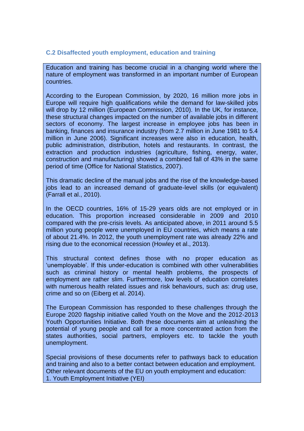## **C.2 Disaffected youth employment, education and training**

Education and training has become crucial in a changing world where the nature of employment was transformed in an important number of European countries.

According to the European Commission, by 2020, 16 million more jobs in Europe will require high qualifications while the demand for law-skilled jobs will drop by 12 million (European Commission, 2010). In the UK, for instance, these structural changes impacted on the number of available jobs in different sectors of economy. The largest increase in employee jobs has been in banking, finances and insurance industry (from 2.7 million in June 1981 to 5.4 million in June 2006). Significant increases were also in education, health, public administration, distribution, hotels and restaurants. In contrast, the extraction and production industries (agriculture, fishing, energy, water, construction and manufacturing) showed a combined fall of 43% in the same period of time (Office for National Statistics, 2007).

This dramatic decline of the manual jobs and the rise of the knowledge-based jobs lead to an increased demand of graduate-level skills (or equivalent) (Farrall et al., 2010).

In the OECD countries, 16% of 15-29 years olds are not employed or in education. This proportion increased considerable in 2009 and 2010 compared with the pre-crisis levels. As anticipated above, in 2011 around 5.5 million young people were unemployed in EU countries, which means a rate of about 21.4%. In 2012, the youth unemployment rate was already 22% and rising due to the economical recession (Howley et al., 2013).

This structural context defines those with no proper education as 'unemployable'. If this under-education is combined with other vulnerabilities such as criminal history or mental health problems, the prospects of employment are rather slim. Furthermore, low levels of education correlates with numerous health related issues and risk behaviours, such as: drug use, crime and so on (Eiberg et al. 2014).

The European Commission has responded to these challenges through the Europe 2020 flagship initiative called Youth on the Move and the 2012-2013 Youth Opportunities Initiative. Both these documents aim at unleashing the potential of young people and call for a more concentrated action from the states authorities, social partners, employers etc. to tackle the youth unemployment.

Special provisions of these documents refer to pathways back to education and training and also to a better contact between education and employment. Other relevant documents of the EU on youth employment and education: 1. Youth Employment Initiative (YEI)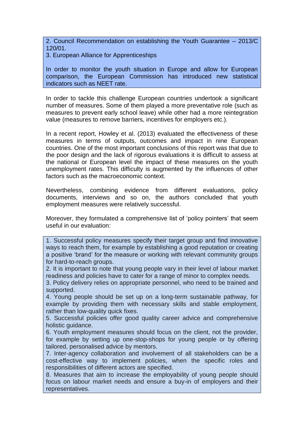2. Council Recommendation on establishing the Youth Guarantee – 2013/C 120/01.

3. European Alliance for Apprenticeships

In order to monitor the youth situation in Europe and allow for European comparison, the European Commission has introduced new statistical indicators such as NEET rate.

In order to tackle this challenge European countries undertook a significant number of measures. Some of them played a more preventative role (such as measures to prevent early school leave) while other had a more reintegration value (measures to remove barriers, incentives for employers etc.).

In a recent report, Howley et al. (2013) evaluated the effectiveness of these measures in terms of outputs, outcomes and impact in nine European countries. One of the most important conclusions of this report was that due to the poor design and the lack of rigorous evaluations it is difficult to assess at the national or European level the impact of these measures on the youth unemployment rates. This difficulty is augmented by the influences of other factors such as the macroeconomic context.

Nevertheless, combining evidence from different evaluations, policy documents, interviews and so on, the authors concluded that youth employment measures were relatively successful.

Moreover, they formulated a comprehensive list of 'policy pointers' that seem useful in our evaluation:

1. Successful policy measures specify their target group and find innovative ways to reach them, for example by establishing a good reputation or creating a positive 'brand' for the measure or working with relevant community groups for hard-to-reach groups.

2. It is important to note that young people vary in their level of labour market readiness and policies have to cater for a range of minor to complex needs.

3. Policy delivery relies on appropriate personnel, who need to be trained and supported.

4. Young people should be set up on a long-term sustainable pathway, for example by providing them with necessary skills and stable employment, rather than low-quality quick fixes.

5. Successful policies offer good quality career advice and comprehensive holistic guidance.

6. Youth employment measures should focus on the client, not the provider, for example by setting up one-stop-shops for young people or by offering tailored, personalised advice by mentors.

7. Inter-agency collaboration and involvement of all stakeholders can be a cost-effective way to implement policies, when the specific roles and responsibilities of different actors are specified.

8. Measures that aim to increase the employability of young people should focus on labour market needs and ensure a buy-in of employers and their representatives.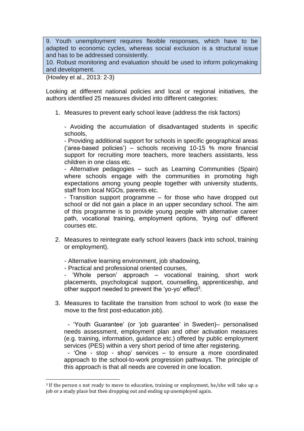9. Youth unemployment requires flexible responses, which have to be adapted to economic cycles, whereas social exclusion is a structural issue and has to be addressed consistently.

10. Robust monitoring and evaluation should be used to inform policymaking and development.

(Howley et al., 2013: 2-3)

 $\overline{a}$ 

Looking at different national policies and local or regional initiatives, the authors identified 25 measures divided into different categories:

1. Measures to prevent early school leave (address the risk factors)

- Avoiding the accumulation of disadvantaged students in specific schools,

- Providing additional support for schools in specific geographical areas ('area-based policies') – schools receiving 10-15 % more financial support for recruiting more teachers, more teachers assistants, less children in one class etc.

- Alternative pedagogies – such as Learning Communities (Spain) where schools engage with the communities in promoting high expectations among young people together with university students, staff from local NGOs, parents etc.

- Transition support programme – for those who have dropped out school or did not gain a place in an upper secondary school. The aim of this programme is to provide young people with alternative career path, vocational training, employment options, 'trying out' different courses etc.

- 2. Measures to reintegrate early school leavers (back into school, training or employment).
	- Alternative learning environment, job shadowing,
	- Practical and professional oriented courses,

- 'Whole person' approach – vocational training, short work placements, psychological support, counselling, apprenticeship, and other support needed to prevent the 'yo-yo' effect<sup>3</sup>.

3. Measures to facilitate the transition from school to work (to ease the move to the first post-education job).

- 'Youth Guarantee' (or 'job guarantee' in Sweden)– personalised needs assessment, employment plan and other activation measures (e.g. training, information, guidance etc.) offered by public employment services (PES) within a very short period of time after registering.

- 'One - stop - shop' services – to ensure a more coordinated approach to the school-to-work progression pathways. The principle of this approach is that all needs are covered in one location.

<sup>3</sup> If the person s not ready to move to education, training or employment, he/she will take up a job or a study place but then dropping out and ending up unemployed again.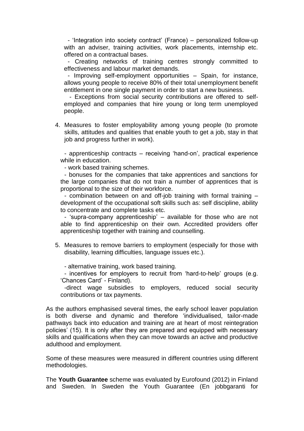- 'Integration into society contract' (France) – personalized follow-up with an adviser, training activities, work placements, internship etc. offered on a contractual bases.

- Creating networks of training centres strongly committed to effectiveness and labour market demands.

- Improving self-employment opportunities – Spain, for instance, allows young people to receive 80% of their total unemployment benefit entitlement in one single payment in order to start a new business.

- Exceptions from social security contributions are offered to selfemployed and companies that hire young or long term unemployed people.

4. Measures to foster employability among young people (to promote skills, attitudes and qualities that enable youth to get a job, stay in that job and progress further in work).

- apprenticeship contracts – receiving 'hand-on', practical experience while in education.

- work based training schemes.

- bonuses for the companies that take apprentices and sanctions for the large companies that do not train a number of apprentices that is proportional to the size of their workforce.

- combination between on and off-job training with formal training – development of the occupational soft skills such as: self discipline, ability to concentrate and complete tasks etc.

- 'supra-company apprenticeship' – available for those who are not able to find apprenticeship on their own. Accredited providers offer apprenticeship together with training and counselling.

5. Measures to remove barriers to employment (especially for those with disability, learning difficulties, language issues etc.).

- alternative training, work based training.

- incentives for employers to recruit from 'hard-to-help' groups (e.g. 'Chances Card' - Finland).

-direct wage subsidies to employers, reduced social security contributions or tax payments.

As the authors emphasised several times, the early school leaver population is both diverse and dynamic and therefore 'individualised, tailor-made pathways back into education and training are at heart of most reintegration policies' (15). It is only after they are prepared and equipped with necessary skills and qualifications when they can move towards an active and productive adulthood and employment.

Some of these measures were measured in different countries using different methodologies.

The **Youth Guarantee** scheme was evaluated by Eurofound (2012) in Finland and Sweden. In Sweden the Youth Guarantee (En jobbgaranti for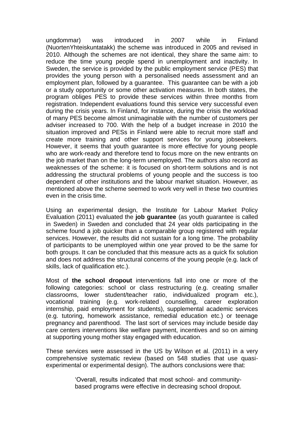ungdommar) was introduced in 2007 while in Finland (NuortenYhteiskuntatakk) the scheme was introduced in 2005 and revised in 2010. Although the schemes are not identical, they share the same aim: to reduce the time young people spend in unemployment and inactivity. In Sweden, the service is provided by the public employment service (PES) that provides the young person with a personalised needs assessment and an employment plan, followed by a guarantee. This guarantee can be with a job or a study opportunity or some other activation measures. In both states, the program obliges PES to provide these services within three months from registration. Independent evaluations found this service very successful even during the crisis years. In Finland, for instance, during the crisis the workload of many PES become almost unimaginable with the number of customers per adviser increased to 700. With the help of a budget increase in 2010 the situation improved and PESs in Finland were able to recruit more staff and create more training and other support services for young jobseekers. However, it seems that youth guarantee is more effective for young people who are work-ready and therefore tend to focus more on the new entrants on the job market than on the long-term unemployed. The authors also record as weaknesses of the scheme: it is focused on short-term solutions and is not addressing the structural problems of young people and the success is too dependent of other institutions and the labour market situation. However, as mentioned above the scheme seemed to work very well in these two countries even in the crisis time.

Using an experimental design, the Institute for Labour Market Policy Evaluation (2011) evaluated the **job guarantee** (as youth guarantee is called in Sweden) in Sweden and concluded that 24 year olds participating in the scheme found a job quicker than a comparable group registered with regular services. However, the results did not sustain for a long time. The probability of participants to be unemployed within one year proved to be the same for both groups. It can be concluded that this measure acts as a quick fix solution and does not address the structural concerns of the young people (e.g. lack of skills, lack of qualification etc.).

Most of **the school dropout** interventions fall into one or more of the following categories: school or class restructuring (e.g. creating smaller classrooms, lower student/teacher ratio, individualized program etc.), vocational training (e.g. work-related counselling, career exploration internship, paid employment for students), supplemental academic services (e.g. tutoring, homework assistance, remedial education etc.) or teenage pregnancy and parenthood. The last sort of services may include beside day care centers interventions like welfare payment, incentives and so on aiming at supporting young mother stay engaged with education.

These services were assessed in the US by Wilson et al. (2011) in a very comprehensive systematic review (based on 548 studies that use quasiexperimental or experimental design). The authors conclusions were that:

> 'Overall, results indicated that most school- and communitybased programs were effective in decreasing school dropout.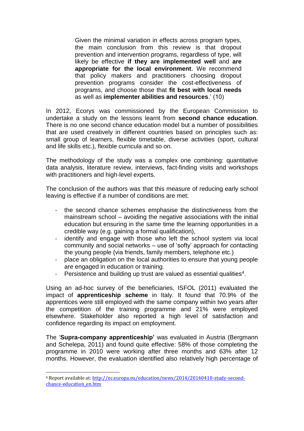Given the minimal variation in effects across program types, the main conclusion from this review is that dropout prevention and intervention programs, regardless of type, will likely be effective **if they are implemented well** and **are appropriate for the local environment**. We recommend that policy makers and practitioners choosing dropout prevention programs consider the cost-effectiveness of programs, and choose those that **fit best with local needs** as well as **implementer abilities and resources**.' (10)

In 2012, Ecorys was commissioned by the European Commission to undertake a study on the lessons learnt from **second chance education**. There is no one second chance education model but a number of possibilities that are used creatively in different countries based on principles such as: small group of learners, flexible timetable, diverse activities (sport, cultural and life skills etc.), flexible curricula and so on.

The methodology of the study was a complex one combining: quantitative data analysis, literature review, interviews, fact-finding visits and workshops with practitioners and high-level experts.

The conclusion of the authors was that this measure of reducing early school leaving is effective if a number of conditions are met:

- the second chance schemes emphasise the distinctiveness from the mainstream school – avoiding the negative associations with the initial education but ensuring in the same time the learning opportunities in a credible way (e.g. gaining a formal qualification),
- identify and engage with those who left the school system via local community and social networks – use of 'softy' approach for contacting the young people (via friends, family members, telephone etc.)
- place an obligation on the local authorities to ensure that young people are engaged in education or training.
- Persistence and building up trust are valued as essential qualities<sup>4</sup>.

Using an ad-hoc survey of the beneficiaries, ISFOL (2011) evaluated the impact of **apprenticeship scheme** in Italy. It found that 70.9% of the apprentices were still employed with the same company within two years after the competition of the training programme and 21% were employed elsewhere. Stakeholder also reported a high level of satisfaction and confidence regarding its impact on employment.

The '**Supra-company apprenticeship'** was evaluated in Austria (Bergmann and Schelepa, 2011) and found quite effective: 58% of those completing the programme in 2010 were working after three months and 63% after 12 months. However, the evaluation identified also relatively high percentage of

 $\overline{a}$ 

<sup>4</sup> Report available at: [http://ec.europa.eu/education/news/2014/20140410-study-second](http://ec.europa.eu/education/news/2014/20140410-study-second-chance-education_en.htm)[chance-education\\_en.htm](http://ec.europa.eu/education/news/2014/20140410-study-second-chance-education_en.htm)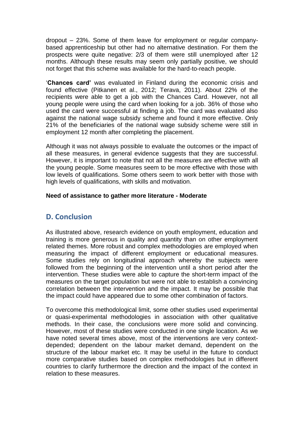dropout – 23%. Some of them leave for employment or regular companybased apprenticeship but other had no alternative destination. For them the prospects were quite negative: 2/3 of them were still unemployed after 12 months. Although these results may seem only partially positive, we should not forget that this scheme was available for the hard-to-reach people.

'**Chances card'** was evaluated in Finland during the economic crisis and found effective (Pitkanen et al., 2012; Terava, 2011). About 22% of the recipients were able to get a job with the Chances Card. However, not all young people were using the card when looking for a job. 36% of those who used the card were successful at finding a job. The card was evaluated also against the national wage subsidy scheme and found it more effective. Only 21% of the beneficiaries of the national wage subsidy scheme were still in employment 12 month after completing the placement.

Although it was not always possible to evaluate the outcomes or the impact of all these measures, in general evidence suggests that they are successful. However, it is important to note that not all the measures are effective with all the young people. Some measures seem to be more effective with those with low levels of qualifications. Some others seem to work better with those with high levels of qualifications, with skills and motivation.

## **Need of assistance to gather more literature - Moderate**

## **D. Conclusion**

As illustrated above, research evidence on youth employment, education and training is more generous in quality and quantity than on other employment related themes. More robust and complex methodologies are employed when measuring the impact of different employment or educational measures. Some studies rely on longitudinal approach whereby the subjects were followed from the beginning of the intervention until a short period after the intervention. These studies were able to capture the short-term impact of the measures on the target population but were not able to establish a convincing correlation between the intervention and the impact. It may be possible that the impact could have appeared due to some other combination of factors.

To overcome this methodological limit, some other studies used experimental or quasi-experimental methodologies in association with other qualitative methods. In their case, the conclusions were more solid and convincing. However, most of these studies were conducted in one single location. As we have noted several times above, most of the interventions are very contextdepended; dependent on the labour market demand, dependent on the structure of the labour market etc. It may be useful in the future to conduct more comparative studies based on complex methodologies but in different countries to clarify furthermore the direction and the impact of the context in relation to these measures.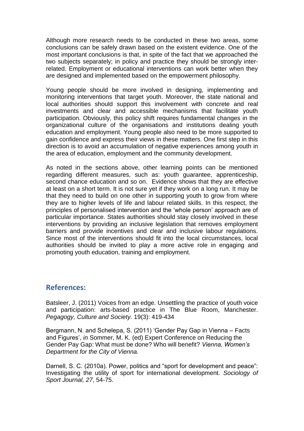Although more research needs to be conducted in these two areas, some conclusions can be safely drawn based on the existent evidence. One of the most important conclusions is that, in spite of the fact that we approached the two subjects separately; in policy and practice they should be strongly interrelated. Employment or educational interventions can work better when they are designed and implemented based on the empowerment philosophy.

Young people should be more involved in designing, implementing and monitoring interventions that target youth. Moreover, the state national and local authorities should support this involvement with concrete and real investments and clear and accessible mechanisms that facilitate youth participation. Obviously, this policy shift requires fundamental changes in the organizational culture of the organisations and institutions dealing youth education and employment. Young people also need to be more supported to gain confidence and express their views in these matters. One first step in this direction is to avoid an accumulation of negative experiences among youth in the area of education, employment and the community development.

As noted in the sections above, other learning points can be mentioned regarding different measures, such as: youth guarantee, apprenticeship, second chance education and so on. Evidence shows that they are effective at least on a short term. It is not sure yet if they work on a long run. It may be that they need to build on one other in supporting youth to grow from where they are to higher levels of life and labour related skills. In this respect, the principles of personalised intervention and the 'whole person' approach are of particular importance. States authorities should stay closely involved in these interventions by providing an inclusive legislation that removes employment barriers and provide incentives and clear and inclusive labour regulations. Since most of the interventions should fit into the local circumstances, local authorities should be invited to play a more active role in engaging and promoting youth education, training and employment.

## **References:**

Batsleer, J. (2011) Voices from an edge. Unsettling the practice of youth voice and participation: arts-based practice in The Blue Room, Manchester. *Pegagogy, Culture and Society.* 19(3): 419-434

Bergmann, N. and Schelepa, S. (2011) 'Gender Pay Gap in Vienna – Facts and Figures', *in* Sommer, M. K. (ed) Expert Conference on Reducing the Gender Pay Gap: What must be done? Who will benefit? *Vienna, Women's Department for the City of Vienna.*

Darnell, S. C. (2010a). Power, politics and "sport for development and peace": Investigating the utility of sport for international development. *Sociology of Sport Journal, 27*, 54-75.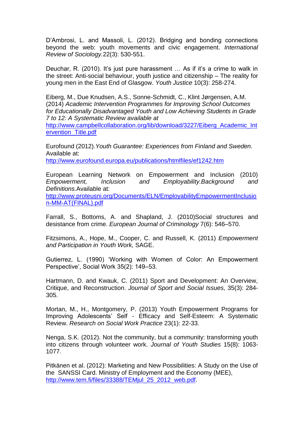D'Ambrosi, L. and Massoli, L. (2012). Bridging and bonding connections beyond the web: youth movements and civic engagement. *International Review of Sociology.*22(3): 530-551.

Deuchar, R. (2010). It's just pure harassment … As if it's a crime to walk in the street: Anti-social behaviour, youth justice and citizenship – The reality for young men in the East End of Glasgow. *Youth Justice* 10(3): 258-274.

Eiberg, M., Due Knudsen, A.S., Sonne-Schmidt, C., Klint Jørgensen, A.M. (2014) *Academic Intervention Programmes for Improving School Outcomes for Educationally Disadvantaged Youth and Low Achieving Students in Grade 7 to 12: A Systematic Review available at*

[http://www.campbellcollaboration.org/lib/download/3227/Eiberg\\_Academic\\_Int](http://www.campbellcollaboration.org/lib/download/3227/Eiberg_Academic_Intervention_Title.pdf) [ervention\\_Title.pdf](http://www.campbellcollaboration.org/lib/download/3227/Eiberg_Academic_Intervention_Title.pdf)

Eurofound (2012).*Youth Guarantee: Experiences from Finland and Sweden.*  Available at:

<http://www.eurofound.europa.eu/publications/htmlfiles/ef1242.htm>

European Learning Network on Empowerment and Inclusion (2010) *Empowerment, Inclusion and Employability.Background and Definitions.*Available at:

[http://www.proteusni.org/Documents/ELN/EmployabilityEmpowermentInclusio](http://www.proteusni.org/Documents/ELN/EmployabilityEmpowermentInclusion-MM-AT(FINAL).pdf) [n-MM-AT\(FINAL\).pdf](http://www.proteusni.org/Documents/ELN/EmployabilityEmpowermentInclusion-MM-AT(FINAL).pdf)

Farrall, S., Bottoms, A. and Shapland, J. (2010)Social structures and desistance from crime. *European Journal of Criminology* 7(6): 546–570.

Fitzsimons, A., Hope, M., Cooper, C. and Russell, K. (2011) *Empowerment and Participation in Youth Work,* SAGE.

Gutierrez, L. (1990) 'Working with Women of Color: An Empowerment Perspective', Social Work 35(2): 149–53.

Hartmann, D. and Kwauk, C. (2011) Sport and Development: An Overview, Critique, and Reconstruction. *Journal of Sport and Social Issues,* 35(3): 284- 305.

Mortan, M., H., Montgomery, P. (2013) Youth Empowerment Programs for Improving Adolescents' Self - Efficacy and Self-Esteem: A Systematic Review. *Research on Social Work Practice* 23(1): 22-33.

Nenga, S.K. (2012). Not the community, but a community: transforming youth into citizens through volunteer work. *Journal of Youth Studies* 15(8): 1063- 1077.

Pitkänen et al. (2012): Marketing and New Possibilities: A Study on the Use of the SANSSI Card. Ministry of Employment and the Economy (MEE), [http://www.tem.fi/files/33388/TEMjul\\_25\\_2012\\_web.pdf.](http://www.tem.fi/files/33388/TEMjul_25_2012_web.pdf)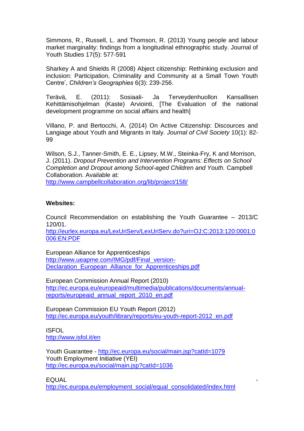Simmons, R., Russell, L. and Thomson, R. (2013) Young people and labour market marginality: findings from a longitudinal ethnographic study. Journal of Youth Studies 17(5): 577-591

Sharkey A and Shields R (2008) Abject citizenship: Rethinking exclusion and inclusion: Participation, Criminality and Community at a Small Town Youth Centre', *Children's Geographies* 6(3): 239-256.

Terävä, E. (2011): Sosiaali- Ja Terveydenhuollon Kansallisen Kehittämisohjelman (Kaste) Arviointi, [The Evaluation of the national development programme on social affairs and health]

Villano, P. and Bertocchi, A. (2014) On Active Citizenship: Discources and Langiage about Youth and Migrants in Italy. *Journal of Civil Society* 10(1): 82- 99

Wilson, S.J., Tanner-Smith, E. E., Lipsey, M.W., Steinka-Fry, K and Morrison, J. (2011). *Dropout Prevention and Intervention Programs: Effects on School Completion and Dropout among School-aged Children and Youth.* Campbell Collaboration. Available at:

<http://www.campbellcollaboration.org/lib/project/158/>

#### **Websites:**

Council Recommendation on establishing the Youth Guarantee – 2013/C 120/01.

[http://eurlex.europa.eu/LexUriServ/LexUriServ.do?uri=OJ:C:2013:120:0001:0](http://eurlex.europa.eu/LexUriServ/LexUriServ.do?uri=OJ:C:2013:120:0001:0006:EN:PDF) [006:EN:PDF](http://eurlex.europa.eu/LexUriServ/LexUriServ.do?uri=OJ:C:2013:120:0001:0006:EN:PDF)

European Alliance for Apprenticeships [http://www.ueapme.com/IMG/pdf/Final\\_version-](http://www.ueapme.com/IMG/pdf/Final_version-Declaration_European_Alliance_for_Apprenticeships.pdf)Declaration European Alliance for Apprenticeships.pdf

European Commission Annual Report (2010) [http://ec.europa.eu/europeaid/multimedia/publications/documents/annual](http://ec.europa.eu/europeaid/multimedia/publications/documents/annual-reports/europeaid_annual_report_2010_en.pdf)[reports/europeaid\\_annual\\_report\\_2010\\_en.pdf](http://ec.europa.eu/europeaid/multimedia/publications/documents/annual-reports/europeaid_annual_report_2010_en.pdf)

European Commission EU Youth Report (2012) [http://ec.europa.eu/youth/library/reports/eu-youth-report-2012\\_en.pdf](http://ec.europa.eu/youth/library/reports/eu-youth-report-2012_en.pdf)

ISFOL <http://www.isfol.it/en>

Youth Guarantee - <http://ec.europa.eu/social/main.jsp?catId=1079> Youth Employment Initiative (YEI) <http://ec.europa.eu/social/main.jsp?catId=1036>

EQUAL -

[http://ec.europa.eu/employment\\_social/equal\\_consolidated/index.html](http://ec.europa.eu/employment_social/equal_consolidated/index.html)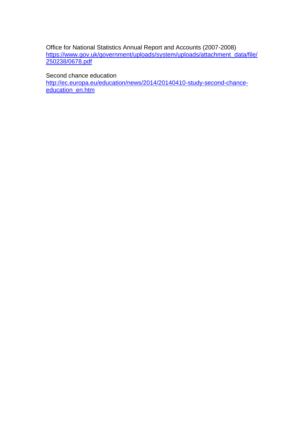Office for National Statistics Annual Report and Accounts (2007-2008) [https://www.gov.uk/government/uploads/system/uploads/attachment\\_data/file/](https://www.gov.uk/government/uploads/system/uploads/attachment_data/file/250238/0678.pdf) [250238/0678.pdf](https://www.gov.uk/government/uploads/system/uploads/attachment_data/file/250238/0678.pdf)

Second chance education

[http://ec.europa.eu/education/news/2014/20140410-study-second-chance](http://ec.europa.eu/education/news/2014/20140410-study-second-chance-education_en.htm)[education\\_en.htm](http://ec.europa.eu/education/news/2014/20140410-study-second-chance-education_en.htm)